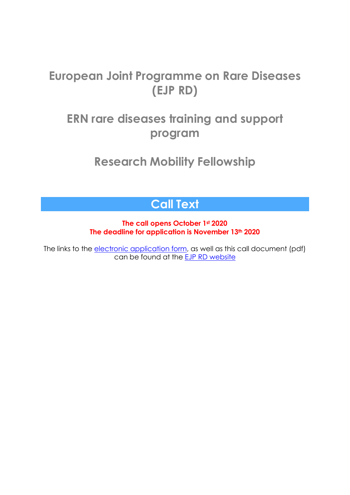# **European Joint Programme on Rare Diseases (EJP RD)**

# **ERN rare diseases training and support program**

**Research Mobility Fellowship**

# **Call Text**

### **The call opens October 1st 2020 The deadline for application is November 13th 2020**

The links to the electronic [application](https://forms.microsoft.com/Pages/ResponsePage.aspx?id=AcQ6OB2ia0KAcl90w2twk2IqTVIYWZFGrQTKKrr6cotUMkxFWkc3VUo1OVNWN004MVRUM0hBUURaNS4u) form, as well as this call document (pdf) can be found at the EJP RD [website](https://www.ejprarediseases.org/index.php/training-and-empowerment/ern-trainings/)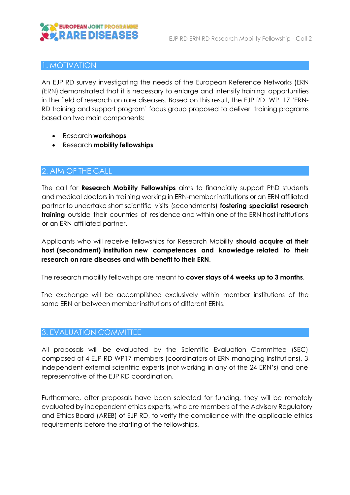

#### 1. MOTIVATION

An EJP RD survey investigating the needs of the European Reference Networks (ERN (ERN) demonstrated that it is necessary to enlarge and intensify training opportunities in the field of research on rare diseases. Based on this result, the EJP RD WP 17 'ERN-RD training and support program' focus group proposed to deliver training programs based on two main components:

- Research **workshops**
- Research **mobility fellowships**

#### 2. AIM OF THE CALL

The call for **Research Mobility Fellowships** aims to financially support PhD students and medical doctors in training working in ERN-member institutions or an ERN affiliated partner to undertake short scientific visits (secondments) **fostering specialist research training** outside their countries of residence and within one of the ERN host institutions or an ERN affiliated partner.

Applicants who will receive fellowships for Research Mobility **should acquire at their host (secondment) institution new competences and knowledge related to their research on rare diseases and with benefit to their ERN**.

The research mobility fellowships are meant to **cover stays of 4 weeks up to 3 months**.

The exchange will be accomplished exclusively within member institutions of the same ERN or between member institutions of different ERNs.

#### 3. EVALUATION COMMITTEE

All proposals will be evaluated by the Scientific Evaluation Committee (SEC) composed of 4 EJP RD WP17 members (coordinators of ERN managing Institutions), 3 independent external scientific experts (not working in any of the 24 ERN's) and one representative of the EJP RD coordination.

Furthermore, after proposals have been selected for funding, they will be remotely evaluated by independent ethics experts, who are members of the Advisory Regulatory and Ethics Board (AREB) of EJP RD, to verify the compliance with the applicable ethics requirements before the starting of the fellowships.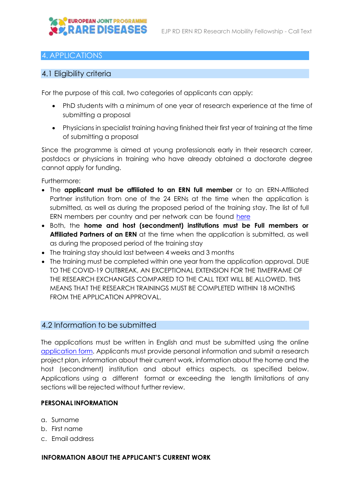

#### 4. APPLICATIONS

#### 4.1 Eligibility criteria

For the purpose of this call, two categories of applicants can apply:

- PhD students with a minimum of one year of research experience at the time of submitting a proposal
- Physicians in specialist training having finished their first year of training at the time of submitting a proposal

Since the programme is aimed at young professionals early in their research career, postdocs or physicians in training who have already obtained a doctorate degree cannot apply for funding.

Furthermore:

- The **applicant must be affiliated to an ERN full member** or to an ERN-Affiliated Partner institution from one of the 24 ERNs at the time when the application is submitted, as well as during the proposed period of the training stay. The list of full ERN members per country and per network can be found [here](https://ec.europa.eu/health/ern_en)
- Both, the **home and host (secondment) institutions must be Full members or Affiliated Partners of an ERN** at the time when the application is submitted, as well as during the proposed period of the training stay
- The training stay should last between 4 weeks and 3 months
- The training must be completed within one year from the application approval. DUE TO THE COVID-19 OUTBREAK, AN EXCEPTIONAL EXTENSION FOR THE TIMEFRAME OF THE RESEARCH EXCHANGES COMPARED TO THE CALL TEXT WILL BE ALLOWED. THIS MEANS THAT THE RESEARCH TRAININGS MUST BE COMPLETED WITHIN 18 MONTHS FROM THE APPLICATION APPROVAL.

#### 4.2 Information to be submitted

The applications must be written in English and must be submitted using the online [application form.](https://forms.microsoft.com/Pages/ResponsePage.aspx?id=AcQ6OB2ia0KAcl90w2twk2IqTVIYWZFGrQTKKrr6cotUMkxFWkc3VUo1OVNWN004MVRUM0hBUURaNS4u) Applicants must provide personal information and submit a research project plan, information about their current work, information about the home and the host (secondment) institution and about ethics aspects, as specified below. Applications using a different format or exceeding the length limitations of any sections will be rejected without further review.

#### **PERSONAL INFORMATION**

- a. Surname
- b. First name
- c. Email address

**INFORMATION ABOUT THE APPLICANT'S CURRENT WORK**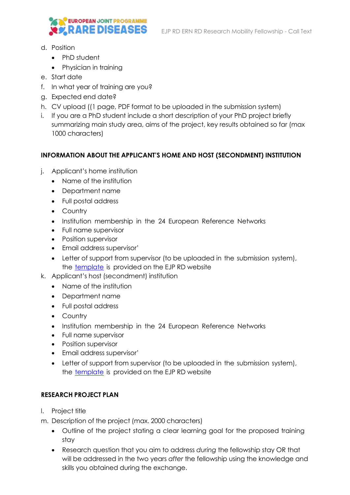

- d. Position
	- PhD student
	- Physician in training
- e. Start date
- f. In what year of training are you?
- g. Expected end date?
- h. CV upload ((1 page, PDF format to be uploaded in the submission system)
- i. If you are a PhD student include a short description of your PhD project briefly summarizing main study area, aims of the project, key results obtained so far (max 1000 characters)

#### **INFORMATION ABOUT THE APPLICANT'S HOME AND HOST (SECONDMENT) INSTITUTION**

- j. Applicant's home institution
	- Name of the institution
	- Department name
	- Full postal address
	- Country
	- Institution membership in the 24 European Reference Networks
	- Full name supervisor
	- Position supervisor
	- Email address supervisor'
	- Letter of support from supervisor (to be uploaded in the submission system), the [template](https://www.ejprarediseases.org/wp-content/uploads/2020/09/Template-letter-of-support-by-HOME-Institution-1.pdf) is provided on the EJP RD website
- k. Applicant's host (secondment) institution
	- Name of the institution
	- Department name
	- Full postal address
	- Country
	- Institution membership in the 24 European Reference Networks
	- Full name supervisor
	- Position supervisor
	- Email address supervisor'
	- Letter of support from supervisor (to be uploaded in the submission system), the [template](https://www.ejprarediseases.org/wp-content/uploads/2020/09/Template-letter-of-acceptance-by-HOST-Institution-1.pdf) is provided on the EJP RD website

#### **RESEARCH PROJECT PLAN**

- l. Project title
- m. Description of the project (max. 2000 characters)
	- Outline of the project stating a clear learning goal for the proposed training stay
	- Research question that you aim to address *during* the fellowship stay OR that will be addressed in the two years *after* the fellowship using the knowledge and skills you obtained during the exchange.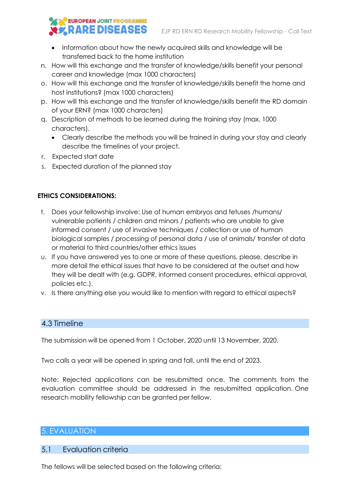# **EUROPEAN JOINT PROGRAMME EX RARE DISEASES**

- Information about how the newly acquired skills and knowledge will be transferred back to the home institution
- n. How will this exchange and the transfer of knowledge/skills benefit your personal career and knowledge (max 1000 characters)
- o. How will this exchange and the transfer of knowledge/skills benefit the home and host institutions? (max 1000 characters)
- p. How will this exchange and the transfer of knowledge/skills benefit the RD domain of your ERN? (max 1000 characters)
- q. Description of methods to be learned during the training stay (max. 1000 characters).
	- Clearly describe the methods you will be trained in during your stay and clearly describe the timelines of your project.
- r. Expected start date
- s. Expected duration of the planned stay

#### **ETHICS CONSIDERATIONS:**

- t. Does your fellowship involve: Use of human embryos and fetuses /humans/ vulnerable patients / children and minors / patients who are unable to give informed consent / use of invasive techniques / collection or use of human biological samples / processing of personal data / use of animals/ transfer of data or material to third countries/other ethics issues
- u. If you have answered yes to one or more of these questions, please, describe in more detail the ethical issues that have to be considered at the outset and how they will be dealt with (e.g. GDPR, informed consent procedures, ethical approval, policies etc.).
- v. Is there anything else you would like to mention with regard to ethical aspects?

# 4.3 Timeline

The submission will be opened from 1 October, 2020 until 13 November, 2020.

Two calls a year will be opened in spring and fall, until the end of 2023.

Note: Rejected applications can be resubmitted once. The comments from the evaluation committee should be addressed in the resubmitted application. One research mobility fellowship can be granted per fellow.

# 5. EVALUATION

# 5.1 Evaluation criteria

The fellows will be selected based on the following criteria: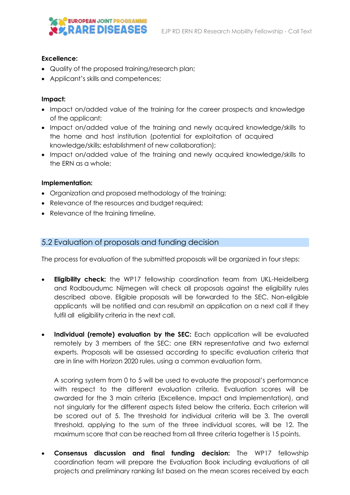

#### **Excellence:**

- Quality of the proposed training/research plan;
- Applicant's skills and competences;

#### **Impact:**

- Impact on/added value of the training for the career prospects and knowledge of the applicant;
- Impact on/added value of the training and newly acquired knowledge/skills to the home and host institution (potential for exploitation of acquired knowledge/skills; establishment of new collaboration);
- Impact on/added value of the training and newly acquired knowledge/skills to the ERN as a whole;

#### **Implementation:**

- Organization and proposed methodology of the training;
- Relevance of the resources and budget required;
- Relevance of the training timeline.

#### 5.2 Evaluation of proposals and funding decision

The process for evaluation of the submitted proposals will be organized in four steps:

- **Eligibility check:** the WP17 fellowship coordination team from UKL-Heidelberg and Radboudumc Nijmegen will check all proposals against the eligibility rules described above. Eligible proposals will be forwarded to the SEC. Non-eligible applicants will be notified and can resubmit an application on a next call if they fulfil all eligibility criteria in the next call.
- **Individual (remote) evaluation by the SEC:** Each application will be evaluated remotely by 3 members of the SEC: one ERN representative and two external experts. Proposals will be assessed according to specific evaluation criteria that are in line with Horizon 2020 rules, using a common evaluation form.

A scoring system from 0 to 5 will be used to evaluate the proposal's performance with respect to the different evaluation criteria. Evaluation scores will be awarded for the 3 main criteria (Excellence, Impact and Implementation), and not singularly for the different aspects listed below the criteria. Each criterion will be scored out of 5. The threshold for individual criteria will be 3. The overall threshold, applying to the sum of the three individual scores, will be 12. The maximum score that can be reached from all three criteria together is 15 points.

• **Consensus discussion and final funding decision:** The WP17 fellowship coordination team will prepare the Evaluation Book including evaluations of all projects and preliminary ranking list based on the mean scores received by each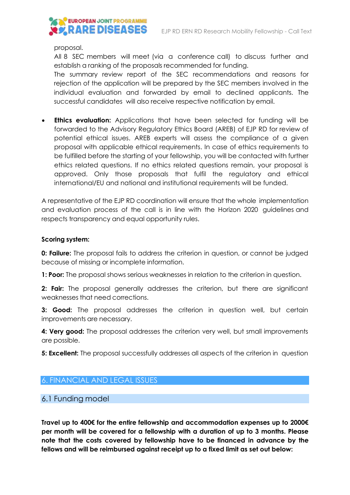

proposal.

All 8 SEC members will meet (via a conference call) to discuss further and establish a ranking of the proposals recommended for funding.

The summary review report of the SEC recommendations and reasons for rejection of the application will be prepared by the SEC members involved in the individual evaluation and forwarded by email to declined applicants. The successful candidates will also receive respective notification by email.

• **Ethics evaluation:** Applications that have been selected for funding will be forwarded to the Advisory Regulatory Ethics Board (AREB) of EJP RD for review of potential ethical issues. AREB experts will assess the compliance of a given proposal with applicable ethical requirements. In case of ethics requirements to be fulfilled before the starting of your fellowship, you will be contacted with further ethics related questions. If no ethics related questions remain, your proposal is approved. Only those proposals that fulfil the regulatory and ethical international/EU and national and institutional requirements will be funded.

A representative of the EJP RD coordination will ensure that the whole implementation and evaluation process of the call is in line with the Horizon 2020 guidelines and respects transparency and equal opportunity rules.

#### **Scoring system:**

**0: Failure:** The proposal fails to address the criterion in question, or cannot be judged because of missing or incomplete information.

**1: Poor:** The proposal shows serious weaknesses in relation to the criterion in question.

**2: Fair:** The proposal generally addresses the criterion, but there are significant weaknesses that need corrections.

**3: Good:** The proposal addresses the criterion in question well, but certain improvements are necessary.

**4: Very good:** The proposal addresses the criterion very well, but small improvements are possible.

**5: Excellent:** The proposal successfully addresses all aspects of the criterion in question

#### 6. FINANCIAL AND LEGAL ISSUES

6.1 Funding model

**Travel up to 400€ for the entire fellowship and accommodation expenses up to 2000€ per month will be covered for a fellowship with a duration of up to 3 months. Please note that the costs covered by fellowship have to be financed in advance by the fellows and will be reimbursed against receipt up to a fixed limit as set out below:**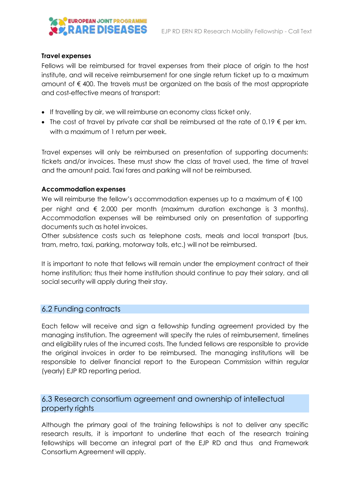# **EUROPEAN JOINT PROGRAMME EX RARE DISEASES**

#### **Travel expenses**

Fellows will be reimbursed for travel expenses from their place of origin to the host institute, and will receive reimbursement for one single return ticket up to a maximum amount of € 400. The travels must be organized on the basis of the most appropriate and cost-effective means of transport:

- If travelling by air, we will reimburse an economy class ticket only.
- The cost of travel by private car shall be reimbursed at the rate of 0.19  $\epsilon$  per km. with a maximum of 1 return per week.

Travel expenses will only be reimbursed on presentation of supporting documents: tickets and/or invoices. These must show the class of travel used, the time of travel and the amount paid. Taxi fares and parking will not be reimbursed.

#### **Accommodation expenses**

We will reimburse the fellow's accommodation expenses up to a maximum of €100 per night and  $\epsilon$  2.000 per month (maximum duration exchange is 3 months). Accommodation expenses will be reimbursed only on presentation of supporting documents such as hotel invoices.

Other subsistence costs such as telephone costs, meals and local transport (bus, tram, metro, taxi, parking, motorway tolls, etc.) will not be reimbursed.

It is important to note that fellows will remain under the employment contract of their home institution; thus their home institution should continue to pay their salary, and all social security will apply during their stay.

#### 6.2 Funding contracts

Each fellow will receive and sign a fellowship funding agreement provided by the managing institution. The agreement will specify the rules of reimbursement, timelines and eligibility rules of the incurred costs. The funded fellows are responsible to provide the original invoices in order to be reimbursed. The managing institutions will be responsible to deliver financial report to the European Commission within regular (yearly) EJP RD reporting period.

# 6.3 Research consortium agreement and ownership of intellectual property rights

Although the primary goal of the training fellowships is not to deliver any specific research results, it is important to underline that each of the research training fellowships will become an integral part of the EJP RD and thus and Framework Consortium Agreement will apply.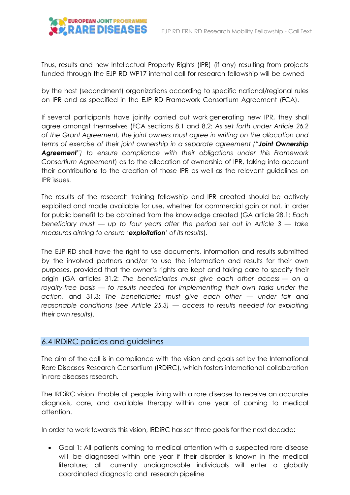Thus, results and new Intellectual Property Rights (IPR) (if any) resulting from projects funded through the EJP RD WP17 internal call for research fellowship will be owned

by the host (secondment) organizations according to specific national/regional rules on IPR and as specified in the EJP RD Framework Consortium Agreement (FCA).

If several participants have jointly carried out work generating new IPR, they shall agree amongst themselves (FCA sections 8.1 and 8.2: *As set forth under Article 26.2 of the Grant Agreement, the joint owners must agree in writing on the allocation and terms of exercise of their joint ownership in a separate agreement ("Joint Ownership Agreement") to ensure compliance with their obligations under this Framework Consortium Agreement*) as to the allocation of ownership of IPR, taking into account their contributions to the creation of those IPR as well as the relevant guidelines on IPR issues.

The results of the research training fellowship and IPR created should be actively exploited and made available for use, whether for commercial gain or not, in order for public benefit to be obtained from the knowledge created (GA article 28.1: *Each beneficiary must — up to four years after the period set out in Article 3 — take measures aiming to ensure 'exploitation' of its results*).

The EJP RD shall have the right to use documents, information and results submitted by the involved partners and/or to use the information and results for their own purposes, provided that the owner's rights are kept and taking care to specify their origin (GA articles 31.2: *The beneficiaries must give each other access — on a royalty-free basis — to results needed for implementing their own tasks under the action,* and 31.3: *The beneficiaries must give each other — under fair and reasonable conditions (see Article 25.3) — access to results needed for exploiting their own results*).

#### 6.4 IRDiRC policies and guidelines

The aim of the call is in compliance with the vision and goals set by the International Rare Diseases Research Consortium (IRDiRC), which fosters international collaboration in rare diseases research.

The IRDiRC vision: Enable all people living with a rare disease to receive an accurate diagnosis, care, and available therapy within one year of coming to medical attention.

In order to work towards this vision, IRDiRC has set three goals for the next decade:

• Goal 1: All patients coming to medical attention with a suspected rare disease will be diagnosed within one year if their disorder is known in the medical literature; all currently undiagnosable individuals will enter a globally coordinated diagnostic and research pipeline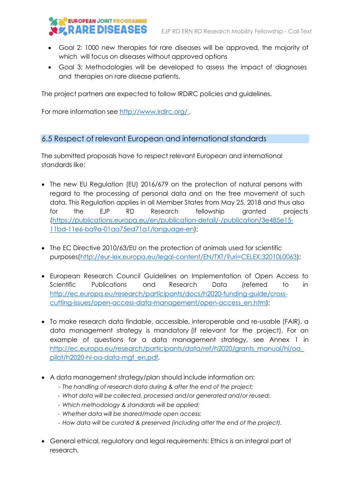

- Goal 2: 1000 new therapies for rare diseases will be approved, the majority of which will focus on diseases without approved options
- Goal 3: Methodologies will be developed to assess the impact of diagnoses and therapies on rare disease patients.

The project partners are expected to follow IRDiRC policies and guidelines.

For more information see <http://www.irdirc.org/> .

# 6.5 Respect of relevant European and international standards

The submitted proposals have to respect relevant European and international standards like:

- The new EU Regulation (EU) 2016/679 on the protection of natural persons with regard to the processing of personal data and on the free movement of such data. This Regulation applies in all Member States from May 25, 2018 and thus also for the EJP RD Research fellowship granted projects [\(https://publications.europa.eu/en/publication-detail/-/publication/3e485e15-](https://publications.europa.eu/en/publication-detail/-/publication/3e485e15-11bd-11e6-ba9a-01aa75ed71a1/language-en) [11bd-11e6-ba9a-01aa75ed71a1/language-en\)](https://publications.europa.eu/en/publication-detail/-/publication/3e485e15-11bd-11e6-ba9a-01aa75ed71a1/language-en);
- The EC Directive 2010/63/EU on the protection of animals used for scientific purposes[\(http://eur-lex.europa.eu/legal-content/EN/TXT/?uri=CELEX:32010L0063\)](http://eur-lex.europa.eu/legal-content/EN/TXT/?uri=CELEX%3A32010L0063);
- European Research Council Guidelines on Implementation of Open Access to Scientific Publications and Research Data (referred to in [http://ec.europa.eu/research/participants/docs/h2020-funding-guide/cross](http://ec.europa.eu/research/participants/docs/h2020-funding-guide/cross-cutting-issues/open-access-data-management/open-access_en.htm)[cutting-issues/open-access-data-management/open-access\\_en.htm\)](http://ec.europa.eu/research/participants/docs/h2020-funding-guide/cross-cutting-issues/open-access-data-management/open-access_en.htm);
- To make research data findable, accessible, interoperable and re-usable (FAIR), a data management strategy is mandatory (if relevant for the project). For an example of questions for a data management strategy, see Annex 1 in [http://ec.europa.eu/research/participants/data/ref/h2020/grants\\_manual/hi/oa\\_](http://ec.europa.eu/research/participants/data/ref/h2020/grants_manual/hi/oa_pilot/h2020-hi-oa-data-mgt_en.pdf) [pilot/h2020-hi-oa-data-mgt\\_en.pdf.](http://ec.europa.eu/research/participants/data/ref/h2020/grants_manual/hi/oa_pilot/h2020-hi-oa-data-mgt_en.pdf)
- A data management strategy/plan should include information on:
	- *The handling of research data during & after the end of the project;*
	- *What data will be collected, processed and/or generated and/or reused;*
	- *Which methodology & standards will be applied;*
	- *Whether data will be shared/made open access;*
	- *How data will be curated & preserved (including after the end of the project).*
- General ethical, regulatory and legal requirements: Ethics is an integral part of research.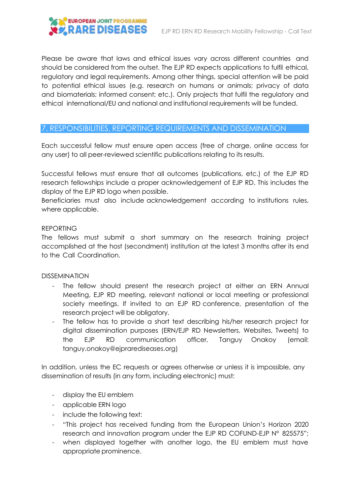# 

Please be aware that laws and ethical issues vary across different countries and should be considered from the outset. The EJP RD expects applications to fulfil ethical, regulatory and legal requirements. Among other things, special attention will be paid to potential ethical issues (e.g. research on humans or animals; privacy of data and biomaterials; informed consent; etc.). Only projects that fulfil the regulatory and ethical international/EU and national and institutional requirements will be funded.

#### 7. RESPONSIBILITIES, REPORTING REQUIREMENTS AND DISSEMINATION

Each successful fellow must ensure open access (free of charge, online access for any user) to all peer-reviewed scientific publications relating to its results.

Successful fellows must ensure that all outcomes (publications, etc.) of the EJP RD research fellowships include a proper acknowledgement of EJP RD. This includes the display of the EJP RD logo when possible.

Beneficiaries must also include acknowledgement according to institutions rules, where applicable.

#### REPORTING

The fellows must submit a short summary on the research training project accomplished at the host (secondment) institution at the latest 3 months after its end to the Call Coordination.

#### DISSEMINATION

- The fellow should present the research project at either an ERN Annual Meeting, EJP RD meeting, relevant national or local meeting or professional society meetings. If invited to an EJP RD conference, presentation of the research project will be obligatory.
- The fellow has to provide a short text describing his/her research project for digital dissemination purposes (ERN/EJP RD Newsletters, Websites, Tweets) to the EJP RD communication officer, Tanguy Onakoy (email: tanguy.onakoy@ejprarediseases.org)

In addition, unless the EC requests or agrees otherwise or unless it is impossible, any dissemination of results (in any form, including electronic) must:

- display the EU emblem
- applicable ERN logo
- include the following text:
- "This project has received funding from the European Union's Horizon 2020 research and innovation program under the EJP RD COFUND-EJP N° 825575";
- when displayed together with another logo, the EU emblem must have appropriate prominence.